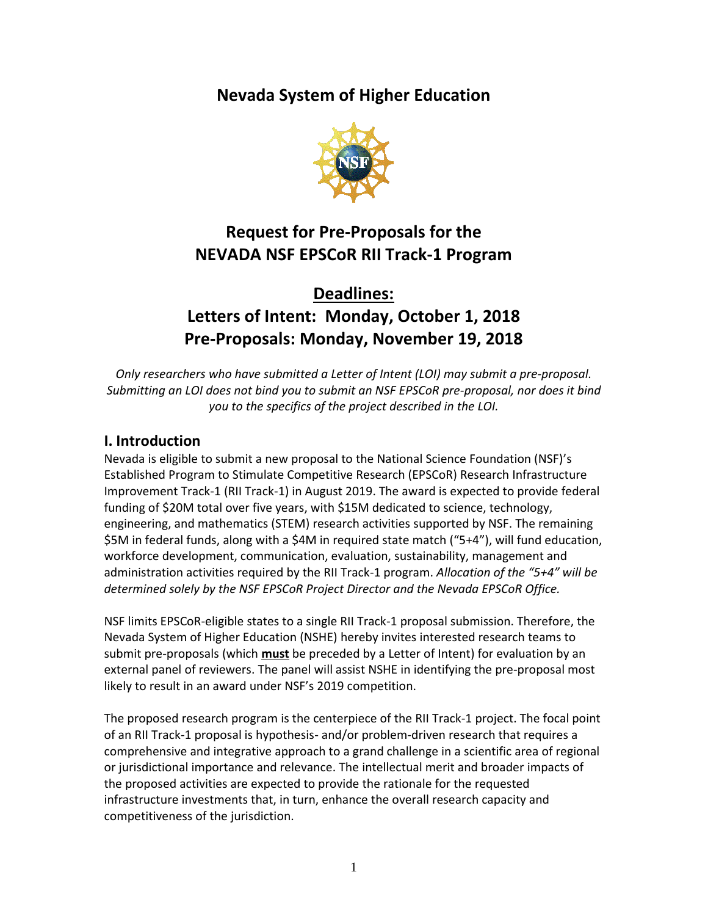**Nevada System of Higher Education**



# **Request for Pre-Proposals for the NEVADA NSF EPSCoR RII Track-1 Program**

# **Deadlines: Letters of Intent: Monday, October 1, 2018 Pre-Proposals: Monday, November 19, 2018**

*Only researchers who have submitted a Letter of Intent (LOI) may submit a pre-proposal. Submitting an LOI does not bind you to submit an NSF EPSCoR pre-proposal, nor does it bind you to the specifics of the project described in the LOI.*

# **I. Introduction**

Nevada is eligible to submit a new proposal to the National Science Foundation (NSF)'s Established Program to Stimulate Competitive Research (EPSCoR) Research Infrastructure Improvement Track-1 (RII Track-1) in August 2019. The award is expected to provide federal funding of \$20M total over five years, with \$15M dedicated to science, technology, engineering, and mathematics (STEM) research activities supported by NSF. The remaining \$5M in federal funds, along with a \$4M in required state match ("5+4"), will fund education, workforce development, communication, evaluation, sustainability, management and administration activities required by the RII Track-1 program. *Allocation of the "5+4" will be determined solely by the NSF EPSCoR Project Director and the Nevada EPSCoR Office.*

NSF limits EPSCoR-eligible states to a single RII Track-1 proposal submission. Therefore, the Nevada System of Higher Education (NSHE) hereby invites interested research teams to submit pre-proposals (which **must** be preceded by a Letter of Intent) for evaluation by an external panel of reviewers. The panel will assist NSHE in identifying the pre-proposal most likely to result in an award under NSF's 2019 competition.

The proposed research program is the centerpiece of the RII Track-1 project. The focal point of an RII Track-1 proposal is hypothesis- and/or problem-driven research that requires a comprehensive and integrative approach to a grand challenge in a scientific area of regional or jurisdictional importance and relevance. The intellectual merit and broader impacts of the proposed activities are expected to provide the rationale for the requested infrastructure investments that, in turn, enhance the overall research capacity and competitiveness of the jurisdiction.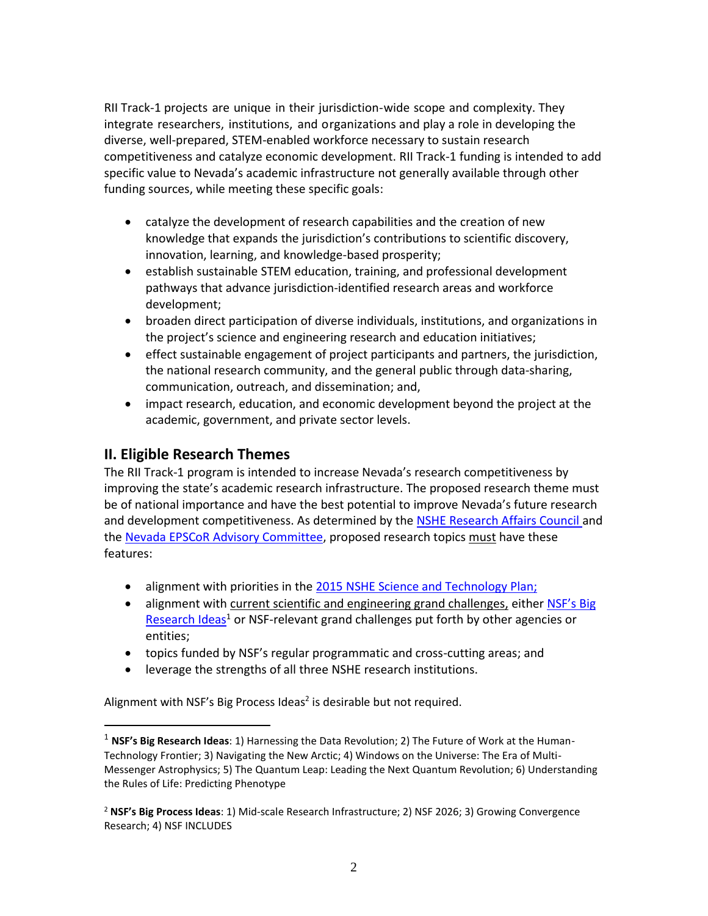RII Track-1 projects are unique in their jurisdiction-wide scope and complexity. They integrate researchers, institutions, and organizations and play a role in developing the diverse, well-prepared, STEM-enabled workforce necessary to sustain research competitiveness and catalyze economic development. RII Track-1 funding is intended to add specific value to Nevada's academic infrastructure not generally available through other funding sources, while meeting these specific goals:

- catalyze the development of research capabilities and the creation of new knowledge that expands the jurisdiction's contributions to scientific discovery, innovation, learning, and knowledge-based prosperity;
- establish sustainable STEM education, training, and professional development pathways that advance jurisdiction-identified research areas and workforce development;
- broaden direct participation of diverse individuals, institutions, and organizations in the project's science and engineering research and education initiatives;
- effect sustainable engagement of project participants and partners, the jurisdiction, the national research community, and the general public through data-sharing, communication, outreach, and dissemination; and,
- impact research, education, and economic development beyond the project at the academic, government, and private sector levels.

## **II. Eligible Research Themes**

 $\overline{a}$ 

The RII Track-1 program is intended to increase Nevada's research competitiveness by improving the state's academic research infrastructure. The proposed research theme must be of national importance and have the best potential to improve Nevada's future research and development competitiveness. As determined by the [NSHE Research Affairs Council a](https://epscorspo.nevada.edu/about/)nd the [Nevada EPSCoR Advisory Committee,](https://epscorspo.nevada.edu/wp-content/uploads/2018/08/RAC-and-EPSCoR-Advisory-8-8-18.pdf) proposed research topics must have these features:

- alignment with priorities in the 2015 [NSHE Science and Technology Plan;](https://epscorspo.nevada.edu/wp-content/uploads/2017/10/NSHE-S-T-Plan.pdf)
- alignment with current scientific and engineering grand challenges, either NSF's Big [Research Ideas](https://www.nsf.gov/news/special_reports/big_ideas/)<sup>1</sup> or NSF-relevant grand challenges put forth by other agencies or entities;
- topics funded by NSF's regular programmatic and cross-cutting areas; and
- leverage the strengths of all three NSHE research institutions.

Alignment with NSF's Big Process Ideas<sup>2</sup> is desirable but not required.

<sup>1</sup> **NSF's Big Research Ideas**: 1) Harnessing the Data Revolution; 2) The Future of Work at the Human-Technology Frontier; 3) Navigating the New Arctic; 4) Windows on the Universe: The Era of Multi-Messenger Astrophysics; 5) The Quantum Leap: Leading the Next Quantum Revolution; 6) Understanding the Rules of Life: Predicting Phenotype

<sup>2</sup> **NSF's Big Process Ideas**: 1) Mid-scale Research Infrastructure; 2) NSF 2026; 3) Growing Convergence Research; 4) NSF INCLUDES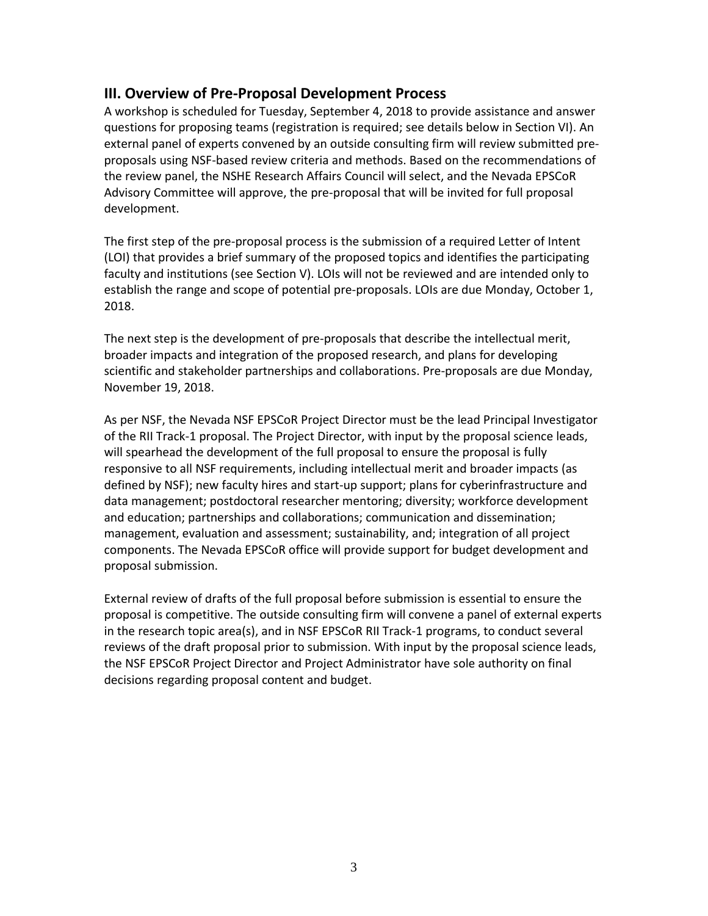## **III. Overview of Pre-Proposal Development Process**

A workshop is scheduled for Tuesday, September 4, 2018 to provide assistance and answer questions for proposing teams (registration is required; see details below in Section VI). An external panel of experts convened by an outside consulting firm will review submitted preproposals using NSF-based review criteria and methods. Based on the recommendations of the review panel, the NSHE Research Affairs Council will select, and the Nevada EPSCoR Advisory Committee will approve, the pre-proposal that will be invited for full proposal development.

The first step of the pre-proposal process is the submission of a required Letter of Intent (LOI) that provides a brief summary of the proposed topics and identifies the participating faculty and institutions (see Section V). LOIs will not be reviewed and are intended only to establish the range and scope of potential pre-proposals. LOIs are due Monday, October 1, 2018.

The next step is the development of pre-proposals that describe the intellectual merit, broader impacts and integration of the proposed research, and plans for developing scientific and stakeholder partnerships and collaborations. Pre-proposals are due Monday, November 19, 2018.

As per NSF, the Nevada NSF EPSCoR Project Director must be the lead Principal Investigator of the RII Track-1 proposal. The Project Director, with input by the proposal science leads, will spearhead the development of the full proposal to ensure the proposal is fully responsive to all NSF requirements, including intellectual merit and broader impacts (as defined by NSF); new faculty hires and start-up support; plans for cyberinfrastructure and data management; postdoctoral researcher mentoring; diversity; workforce development and education; partnerships and collaborations; communication and dissemination; management, evaluation and assessment; sustainability, and; integration of all project components. The Nevada EPSCoR office will provide support for budget development and proposal submission.

External review of drafts of the full proposal before submission is essential to ensure the proposal is competitive. The outside consulting firm will convene a panel of external experts in the research topic area(s), and in NSF EPSCoR RII Track-1 programs, to conduct several reviews of the draft proposal prior to submission. With input by the proposal science leads, the NSF EPSCoR Project Director and Project Administrator have sole authority on final decisions regarding proposal content and budget.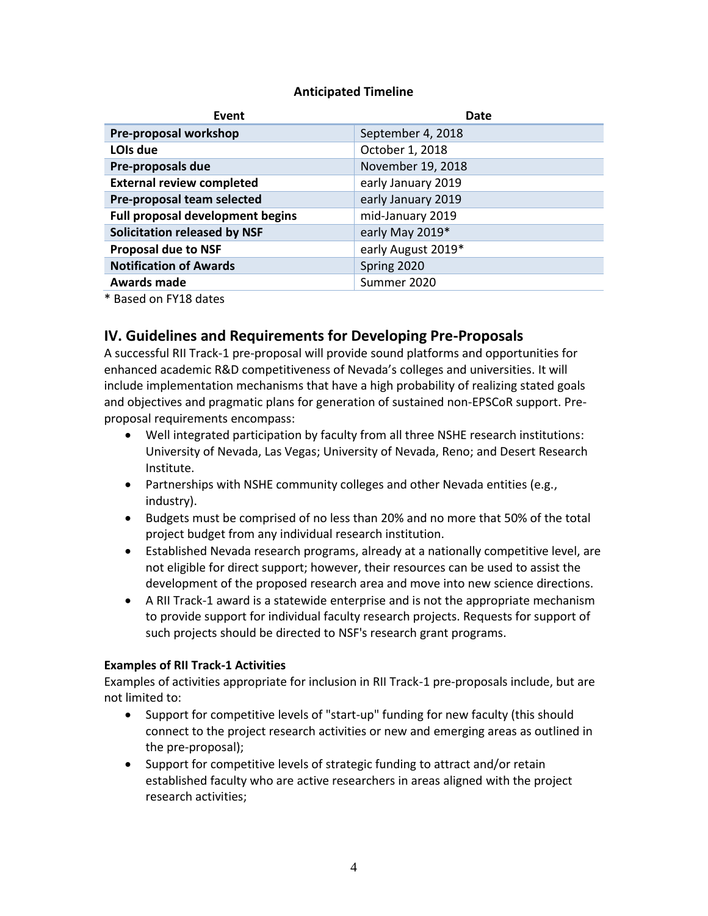#### **Anticipated Timeline**

| Event                                   | Date               |
|-----------------------------------------|--------------------|
| Pre-proposal workshop                   | September 4, 2018  |
| LOIs due                                | October 1, 2018    |
| Pre-proposals due                       | November 19, 2018  |
| <b>External review completed</b>        | early January 2019 |
| Pre-proposal team selected              | early January 2019 |
| <b>Full proposal development begins</b> | mid-January 2019   |
| <b>Solicitation released by NSF</b>     | early May 2019*    |
| <b>Proposal due to NSF</b>              | early August 2019* |
| <b>Notification of Awards</b>           | Spring 2020        |
| <b>Awards made</b>                      | Summer 2020        |

\* Based on FY18 dates

## **IV. Guidelines and Requirements for Developing Pre-Proposals**

A successful RII Track-1 pre-proposal will provide sound platforms and opportunities for enhanced academic R&D competitiveness of Nevada's colleges and universities. It will include implementation mechanisms that have a high probability of realizing stated goals and objectives and pragmatic plans for generation of sustained non-EPSCoR support. Preproposal requirements encompass:

- Well integrated participation by faculty from all three NSHE research institutions: University of Nevada, Las Vegas; University of Nevada, Reno; and Desert Research Institute.
- Partnerships with NSHE community colleges and other Nevada entities (e.g., industry).
- Budgets must be comprised of no less than 20% and no more that 50% of the total project budget from any individual research institution.
- Established Nevada research programs, already at a nationally competitive level, are not eligible for direct support; however, their resources can be used to assist the development of the proposed research area and move into new science directions.
- A RII Track-1 award is a statewide enterprise and is not the appropriate mechanism to provide support for individual faculty research projects. Requests for support of such projects should be directed to NSF's research grant programs.

#### **Examples of RII Track-1 Activities**

Examples of activities appropriate for inclusion in RII Track-1 pre-proposals include, but are not limited to:

- Support for competitive levels of "start-up" funding for new faculty (this should connect to the project research activities or new and emerging areas as outlined in the pre-proposal);
- Support for competitive levels of strategic funding to attract and/or retain established faculty who are active researchers in areas aligned with the project research activities;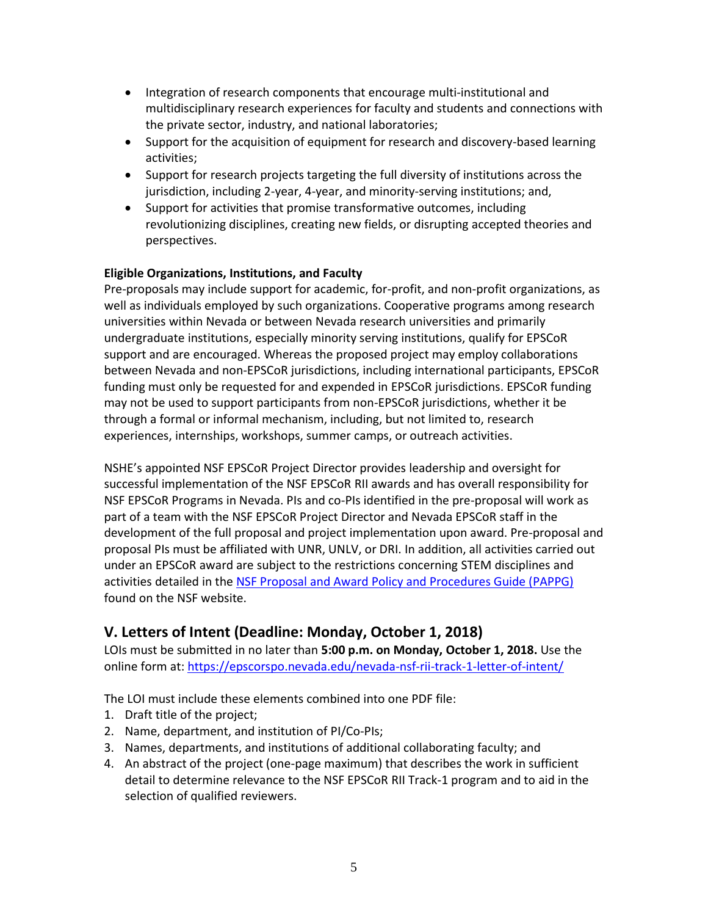- Integration of research components that encourage multi-institutional and multidisciplinary research experiences for faculty and students and connections with the private sector, industry, and national laboratories;
- Support for the acquisition of equipment for research and discovery-based learning activities;
- Support for research projects targeting the full diversity of institutions across the jurisdiction, including 2-year, 4-year, and minority-serving institutions; and,
- Support for activities that promise transformative outcomes, including revolutionizing disciplines, creating new fields, or disrupting accepted theories and perspectives.

#### **Eligible Organizations, Institutions, and Faculty**

Pre-proposals may include support for academic, for-profit, and non-profit organizations, as well as individuals employed by such organizations. Cooperative programs among research universities within Nevada or between Nevada research universities and primarily undergraduate institutions, especially minority serving institutions, qualify for EPSCoR support and are encouraged. Whereas the proposed project may employ collaborations between Nevada and non-EPSCoR jurisdictions, including international participants, EPSCoR funding must only be requested for and expended in EPSCoR jurisdictions. EPSCoR funding may not be used to support participants from non-EPSCoR jurisdictions, whether it be through a formal or informal mechanism, including, but not limited to, research experiences, internships, workshops, summer camps, or outreach activities.

NSHE's appointed NSF EPSCoR Project Director provides leadership and oversight for successful implementation of the NSF EPSCoR RII awards and has overall responsibility for NSF EPSCoR Programs in Nevada. PIs and co-PIs identified in the pre-proposal will work as part of a team with the NSF EPSCoR Project Director and Nevada EPSCoR staff in the development of the full proposal and project implementation upon award. Pre-proposal and proposal PIs must be affiliated with UNR, UNLV, or DRI. In addition, all activities carried out under an EPSCoR award are subject to the restrictions concerning STEM disciplines and activities detailed in the [NSF Proposal and Award Policy and Procedures Guide \(PAPPG\)](https://www.nsf.gov/pubs/policydocs/pappg18_1/index.jsp) found on the NSF website.

## **V. Letters of Intent (Deadline: Monday, October 1, 2018)**

LOIs must be submitted in no later than **5:00 p.m. on Monday, October 1, 2018.** Use the online form at: https://epscorspo.nevada.edu/nevada-nsf-rii-track-1-letter-of-intent/

The LOI must include these elements combined into one PDF file:

- 1. Draft title of the project;
- 2. Name, department, and institution of PI/Co-PIs;
- 3. Names, departments, and institutions of additional collaborating faculty; and
- 4. An abstract of the project (one-page maximum) that describes the work in sufficient detail to determine relevance to the NSF EPSCoR RII Track-1 program and to aid in the selection of qualified reviewers.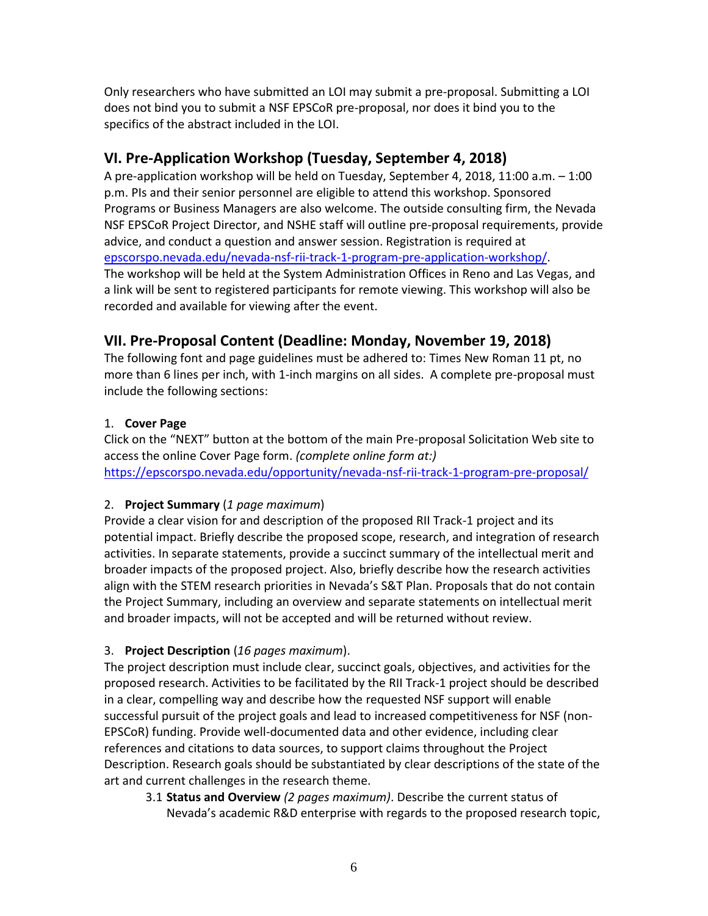Only researchers who have submitted an LOI may submit a pre-proposal. Submitting a LOI does not bind you to submit a NSF EPSCoR pre-proposal, nor does it bind you to the specifics of the abstract included in the LOI.

# **VI. Pre-Application Workshop (Tuesday, September 4, 2018)**

A pre-application workshop will be held on Tuesday, September 4, 2018, 11:00 a.m. – 1:00 p.m. PIs and their senior personnel are eligible to attend this workshop. Sponsored Programs or Business Managers are also welcome. The outside consulting firm, the Nevada NSF EPSCoR Project Director, and NSHE staff will outline pre-proposal requirements, provide advice, and conduct a question and answer session. Registration is required at [epscorspo.nevada.edu/nevada-nsf-rii-track-1-program-pre-application-workshop/.](https://epscorspo.nevada.edu/nevada-nsf-rii-track-1-program-pre-application-workshop/) The workshop will be held at the System Administration Offices in Reno and Las Vegas, and a link will be sent to registered participants for remote viewing. This workshop will also be recorded and available for viewing after the event.

## **VII. Pre-Proposal Content (Deadline: Monday, November 19, 2018)**

The following font and page guidelines must be adhered to: Times New Roman 11 pt, no more than 6 lines per inch, with 1-inch margins on all sides. A complete pre-proposal must include the following sections:

## 1. **Cover Page**

Click on the "NEXT" button at the bottom of the main Pre-proposal Solicitation Web site to access the online Cover Page form. *(complete online form at:)* <https://epscorspo.nevada.edu/opportunity/nevada-nsf-rii-track-1-program-pre-proposal/>

### 2. **Project Summary** (*1 page maximum*)

Provide a clear vision for and description of the proposed RII Track-1 project and its potential impact. Briefly describe the proposed scope, research, and integration of research activities. In separate statements, provide a succinct summary of the intellectual merit and broader impacts of the proposed project. Also, briefly describe how the research activities align with the STEM research priorities in Nevada's S&T Plan. Proposals that do not contain the Project Summary, including an overview and separate statements on intellectual merit and broader impacts, will not be accepted and will be returned without review.

### 3. **Project Description** (*16 pages maximum*).

The project description must include clear, succinct goals, objectives, and activities for the proposed research. Activities to be facilitated by the RII Track-1 project should be described in a clear, compelling way and describe how the requested NSF support will enable successful pursuit of the project goals and lead to increased competitiveness for NSF (non-EPSCoR) funding. Provide well-documented data and other evidence, including clear references and citations to data sources, to support claims throughout the Project Description. Research goals should be substantiated by clear descriptions of the state of the art and current challenges in the research theme.

3.1 **Status and Overview** *(2 pages maximum)*. Describe the current status of Nevada's academic R&D enterprise with regards to the proposed research topic,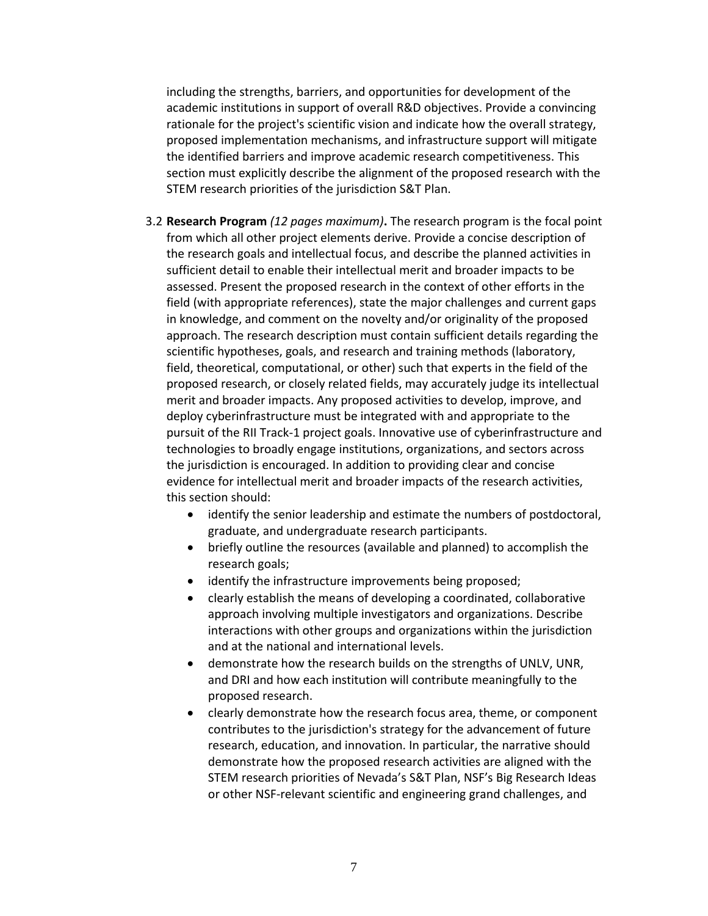including the strengths, barriers, and opportunities for development of the academic institutions in support of overall R&D objectives. Provide a convincing rationale for the project's scientific vision and indicate how the overall strategy, proposed implementation mechanisms, and infrastructure support will mitigate the identified barriers and improve academic research competitiveness. This section must explicitly describe the alignment of the proposed research with the STEM research priorities of the jurisdiction S&T Plan.

- 3.2 **Research Program** *(12 pages maximum)***.** The research program is the focal point from which all other project elements derive. Provide a concise description of the research goals and intellectual focus, and describe the planned activities in sufficient detail to enable their intellectual merit and broader impacts to be assessed. Present the proposed research in the context of other efforts in the field (with appropriate references), state the major challenges and current gaps in knowledge, and comment on the novelty and/or originality of the proposed approach. The research description must contain sufficient details regarding the scientific hypotheses, goals, and research and training methods (laboratory, field, theoretical, computational, or other) such that experts in the field of the proposed research, or closely related fields, may accurately judge its intellectual merit and broader impacts. Any proposed activities to develop, improve, and deploy cyberinfrastructure must be integrated with and appropriate to the pursuit of the RII Track-1 project goals. Innovative use of cyberinfrastructure and technologies to broadly engage institutions, organizations, and sectors across the jurisdiction is encouraged. In addition to providing clear and concise evidence for intellectual merit and broader impacts of the research activities, this section should:
	- identify the senior leadership and estimate the numbers of postdoctoral, graduate, and undergraduate research participants.
	- briefly outline the resources (available and planned) to accomplish the research goals;
	- identify the infrastructure improvements being proposed;
	- clearly establish the means of developing a coordinated, collaborative approach involving multiple investigators and organizations. Describe interactions with other groups and organizations within the jurisdiction and at the national and international levels.
	- demonstrate how the research builds on the strengths of UNLV, UNR, and DRI and how each institution will contribute meaningfully to the proposed research.
	- clearly demonstrate how the research focus area, theme, or component contributes to the jurisdiction's strategy for the advancement of future research, education, and innovation. In particular, the narrative should demonstrate how the proposed research activities are aligned with the STEM research priorities of Nevada's S&T Plan, NSF's Big Research Ideas or other NSF-relevant scientific and engineering grand challenges, and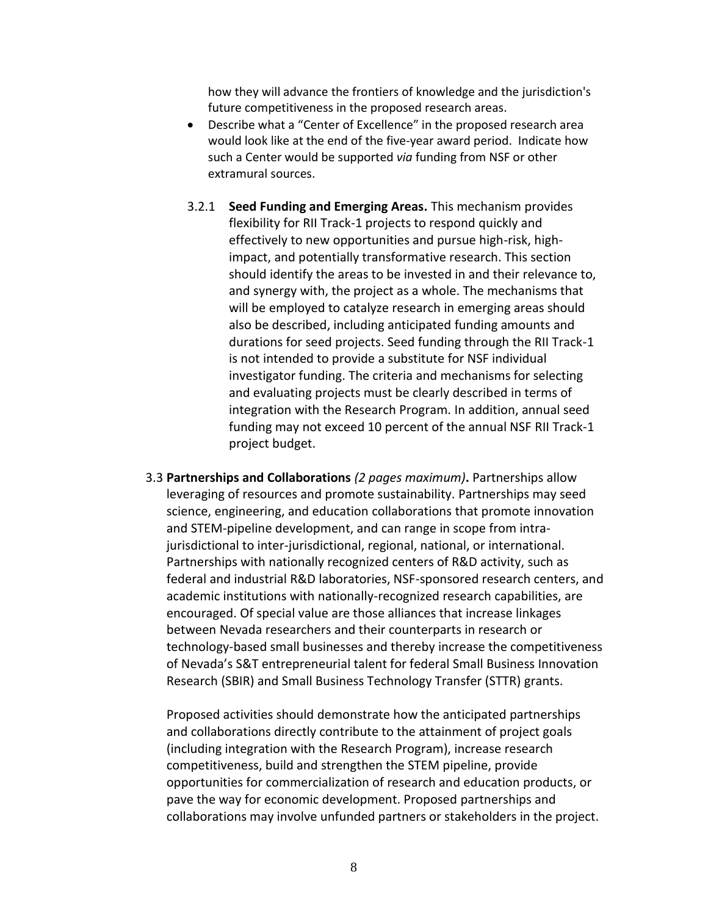how they will advance the frontiers of knowledge and the jurisdiction's future competitiveness in the proposed research areas.

- Describe what a "Center of Excellence" in the proposed research area would look like at the end of the five-year award period. Indicate how such a Center would be supported *via* funding from NSF or other extramural sources.
- 3.2.1 **Seed Funding and Emerging Areas.** This mechanism provides flexibility for RII Track-1 projects to respond quickly and effectively to new opportunities and pursue high-risk, highimpact, and potentially transformative research. This section should identify the areas to be invested in and their relevance to, and synergy with, the project as a whole. The mechanisms that will be employed to catalyze research in emerging areas should also be described, including anticipated funding amounts and durations for seed projects. Seed funding through the RII Track-1 is not intended to provide a substitute for NSF individual investigator funding. The criteria and mechanisms for selecting and evaluating projects must be clearly described in terms of integration with the Research Program. In addition, annual seed funding may not exceed 10 percent of the annual NSF RII Track-1 project budget.
- 3.3 **Partnerships and Collaborations** *(2 pages maximum)***.** Partnerships allow leveraging of resources and promote sustainability. Partnerships may seed science, engineering, and education collaborations that promote innovation and STEM-pipeline development, and can range in scope from intrajurisdictional to inter-jurisdictional, regional, national, or international. Partnerships with nationally recognized centers of R&D activity, such as federal and industrial R&D laboratories, NSF-sponsored research centers, and academic institutions with nationally-recognized research capabilities, are encouraged. Of special value are those alliances that increase linkages between Nevada researchers and their counterparts in research or technology-based small businesses and thereby increase the competitiveness of Nevada's S&T entrepreneurial talent for federal Small Business Innovation Research (SBIR) and Small Business Technology Transfer (STTR) grants.

Proposed activities should demonstrate how the anticipated partnerships and collaborations directly contribute to the attainment of project goals (including integration with the Research Program), increase research competitiveness, build and strengthen the STEM pipeline, provide opportunities for commercialization of research and education products, or pave the way for economic development. Proposed partnerships and collaborations may involve unfunded partners or stakeholders in the project.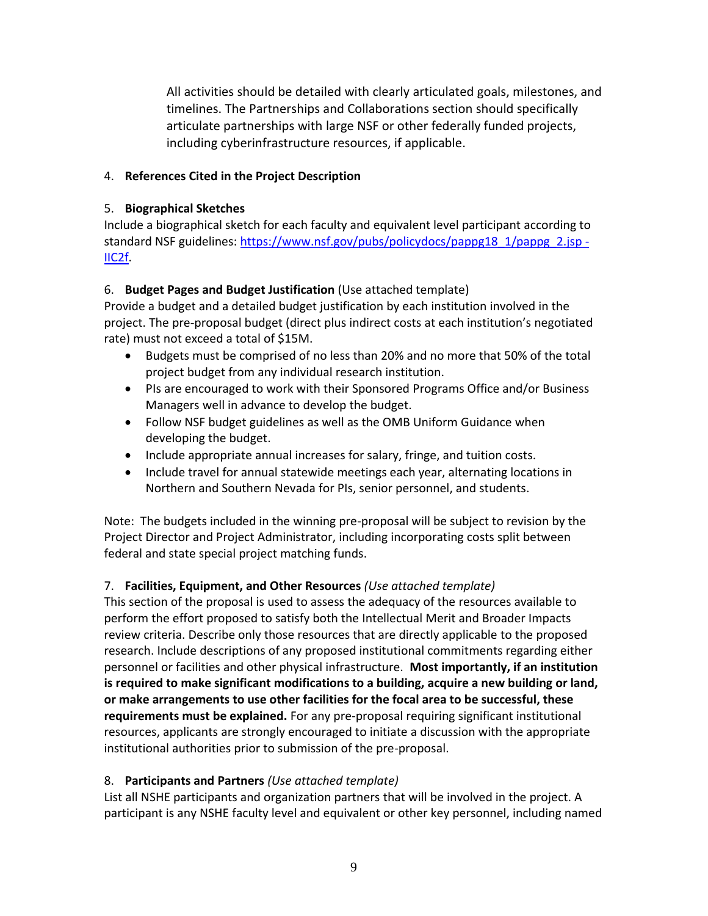All activities should be detailed with clearly articulated goals, milestones, and timelines. The Partnerships and Collaborations section should specifically articulate partnerships with large NSF or other federally funded projects, including cyberinfrastructure resources, if applicable.

### 4. **References Cited in the Project Description**

### 5. **Biographical Sketches**

Include a biographical sketch for each faculty and equivalent level participant according to standard NSF guidelines: [https://www.nsf.gov/pubs/policydocs/pappg18\\_1/pappg\\_2.jsp -](https://www.nsf.gov/pubs/policydocs/pappg18_1/pappg_2.jsp#IIC2f) [IIC2f.](https://www.nsf.gov/pubs/policydocs/pappg18_1/pappg_2.jsp#IIC2f)

## 6. **Budget Pages and Budget Justification** (Use attached template)

Provide a budget and a detailed budget justification by each institution involved in the project. The pre-proposal budget (direct plus indirect costs at each institution's negotiated rate) must not exceed a total of \$15M.

- Budgets must be comprised of no less than 20% and no more that 50% of the total project budget from any individual research institution.
- PIs are encouraged to work with their Sponsored Programs Office and/or Business Managers well in advance to develop the budget.
- Follow NSF budget guidelines as well as the OMB Uniform Guidance when developing the budget.
- Include appropriate annual increases for salary, fringe, and tuition costs.
- Include travel for annual statewide meetings each year, alternating locations in Northern and Southern Nevada for PIs, senior personnel, and students.

Note: The budgets included in the winning pre-proposal will be subject to revision by the Project Director and Project Administrator, including incorporating costs split between federal and state special project matching funds.

### 7. **Facilities, Equipment, and Other Resources** *(Use attached template)*

This section of the proposal is used to assess the adequacy of the resources available to perform the effort proposed to satisfy both the Intellectual Merit and Broader Impacts review criteria. Describe only those resources that are directly applicable to the proposed research. Include descriptions of any proposed institutional commitments regarding either personnel or facilities and other physical infrastructure. **Most importantly, if an institution is required to make significant modifications to a building, acquire a new building or land, or make arrangements to use other facilities for the focal area to be successful, these requirements must be explained.** For any pre-proposal requiring significant institutional resources, applicants are strongly encouraged to initiate a discussion with the appropriate institutional authorities prior to submission of the pre-proposal.

### 8. **Participants and Partners** *(Use attached template)*

List all NSHE participants and organization partners that will be involved in the project. A participant is any NSHE faculty level and equivalent or other key personnel, including named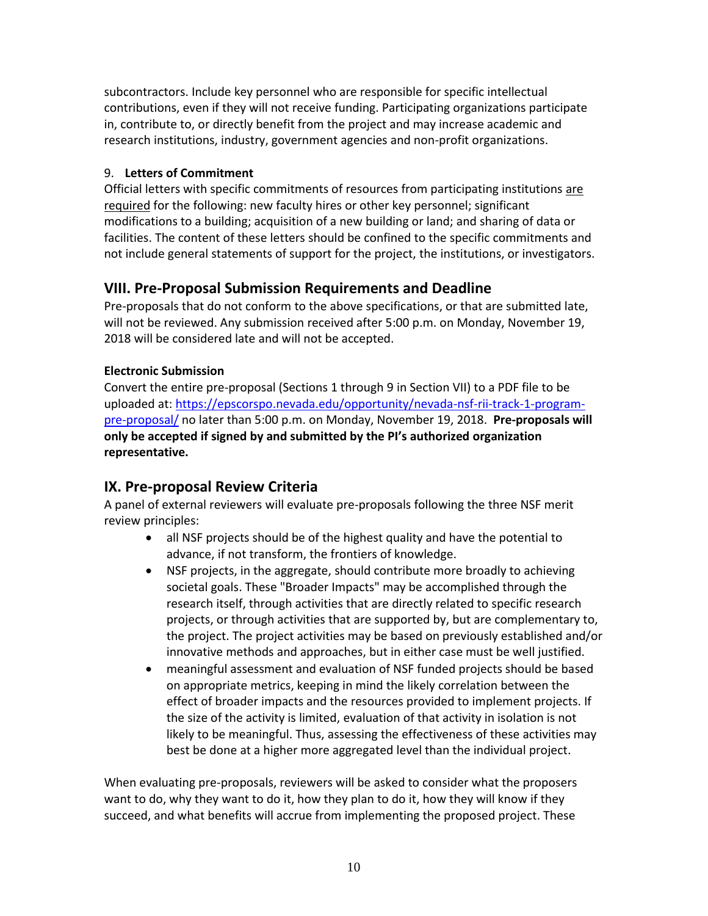subcontractors. Include key personnel who are responsible for specific intellectual contributions, even if they will not receive funding. Participating organizations participate in, contribute to, or directly benefit from the project and may increase academic and research institutions, industry, government agencies and non-profit organizations.

#### 9. **Letters of Commitment**

Official letters with specific commitments of resources from participating institutions are required for the following: new faculty hires or other key personnel; significant modifications to a building; acquisition of a new building or land; and sharing of data or facilities. The content of these letters should be confined to the specific commitments and not include general statements of support for the project, the institutions, or investigators.

## **VIII. Pre-Proposal Submission Requirements and Deadline**

Pre-proposals that do not conform to the above specifications, or that are submitted late, will not be reviewed. Any submission received after 5:00 p.m. on Monday, November 19, 2018 will be considered late and will not be accepted.

### **Electronic Submission**

Convert the entire pre-proposal (Sections 1 through 9 in Section VII) to a PDF file to be uploaded at[: https://epscorspo.nevada.edu/opportunity/nevada-nsf-rii-track-1-program](https://epscorspo.nevada.edu/opportunity/nevada-nsf-rii-track-1-program-pre-proposal/)[pre-proposal/](https://epscorspo.nevada.edu/opportunity/nevada-nsf-rii-track-1-program-pre-proposal/) no later than 5:00 p.m. on Monday, November 19, 2018. **Pre-proposals will only be accepted if signed by and submitted by the PI's authorized organization representative.**

# **IX. Pre-proposal Review Criteria**

A panel of external reviewers will evaluate pre-proposals following the three NSF merit review principles:

- all NSF projects should be of the highest quality and have the potential to advance, if not transform, the frontiers of knowledge.
- NSF projects, in the aggregate, should contribute more broadly to achieving societal goals. These "Broader Impacts" may be accomplished through the research itself, through activities that are directly related to specific research projects, or through activities that are supported by, but are complementary to, the project. The project activities may be based on previously established and/or innovative methods and approaches, but in either case must be well justified.
- meaningful assessment and evaluation of NSF funded projects should be based on appropriate metrics, keeping in mind the likely correlation between the effect of broader impacts and the resources provided to implement projects. If the size of the activity is limited, evaluation of that activity in isolation is not likely to be meaningful. Thus, assessing the effectiveness of these activities may best be done at a higher more aggregated level than the individual project.

When evaluating pre-proposals, reviewers will be asked to consider what the proposers want to do, why they want to do it, how they plan to do it, how they will know if they succeed, and what benefits will accrue from implementing the proposed project. These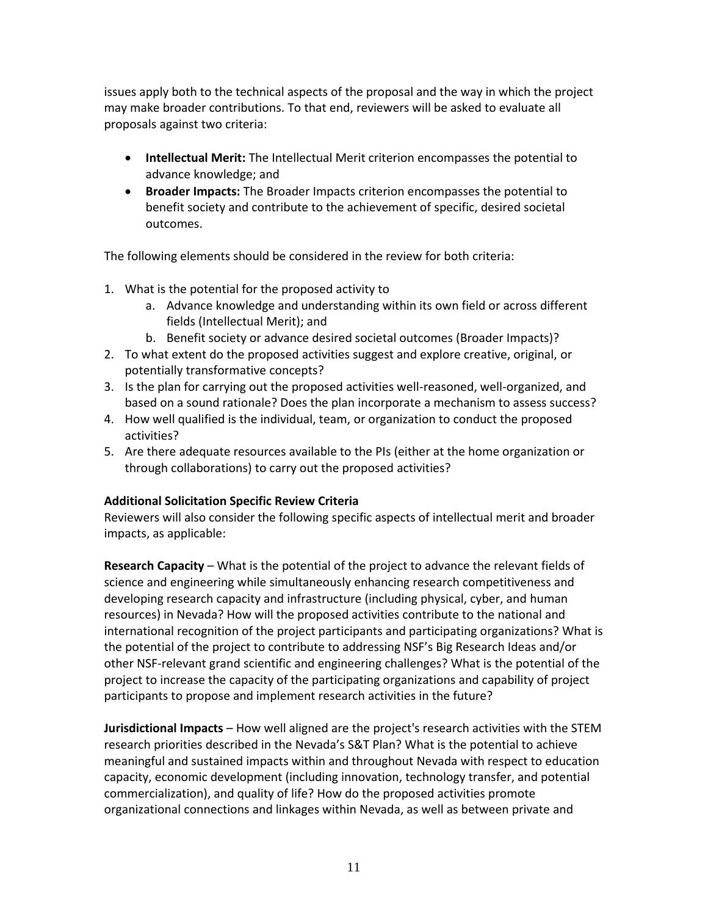issues apply both to the technical aspects of the proposal and the way in which the project may make broader contributions. To that end, reviewers will be asked to evaluate all proposals against two criteria:

- **Intellectual Merit:** The Intellectual Merit criterion encompasses the potential to advance knowledge; and
- **Broader Impacts:** The Broader Impacts criterion encompasses the potential to benefit society and contribute to the achievement of specific, desired societal outcomes.

The following elements should be considered in the review for both criteria:

- 1. What is the potential for the proposed activity to
	- a. Advance knowledge and understanding within its own field or across different fields (Intellectual Merit); and
	- b. Benefit society or advance desired societal outcomes (Broader Impacts)?
- 2. To what extent do the proposed activities suggest and explore creative, original, or potentially transformative concepts?
- 3. Is the plan for carrying out the proposed activities well-reasoned, well-organized, and based on a sound rationale? Does the plan incorporate a mechanism to assess success?
- 4. How well qualified is the individual, team, or organization to conduct the proposed activities?
- 5. Are there adequate resources available to the PIs (either at the home organization or through collaborations) to carry out the proposed activities?

#### **Additional Solicitation Specific Review Criteria**

Reviewers will also consider the following specific aspects of intellectual merit and broader impacts, as applicable:

**Research Capacity** – What is the potential of the project to advance the relevant fields of science and engineering while simultaneously enhancing research competitiveness and developing research capacity and infrastructure (including physical, cyber, and human resources) in Nevada? How will the proposed activities contribute to the national and international recognition of the project participants and participating organizations? What is the potential of the project to contribute to addressing NSF's Big Research Ideas and/or other NSF-relevant grand scientific and engineering challenges? What is the potential of the project to increase the capacity of the participating organizations and capability of project participants to propose and implement research activities in the future?

**Jurisdictional Impacts** – How well aligned are the project's research activities with the STEM research priorities described in the Nevada's S&T Plan? What is the potential to achieve meaningful and sustained impacts within and throughout Nevada with respect to education capacity, economic development (including innovation, technology transfer, and potential commercialization), and quality of life? How do the proposed activities promote organizational connections and linkages within Nevada, as well as between private and